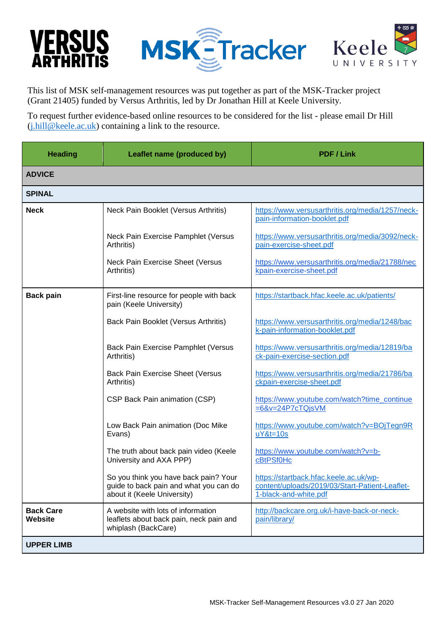## VERSUS





This list of MSK self-management resources was put together as part of the MSK-Tracker project (Grant 21405) funded by Versus Arthritis, led by Dr Jonathan Hill at Keele University.

To request further evidence-based online resources to be considered for the list - please email Dr Hill  $(i.hill@keele.ac.uk)$  containing a link to the resource.

| <b>Heading</b>              | Leaflet name (produced by)                                                                                     | <b>PDF / Link</b>                                                                                                 |
|-----------------------------|----------------------------------------------------------------------------------------------------------------|-------------------------------------------------------------------------------------------------------------------|
| <b>ADVICE</b>               |                                                                                                                |                                                                                                                   |
| <b>SPINAL</b>               |                                                                                                                |                                                                                                                   |
| <b>Neck</b>                 | Neck Pain Booklet (Versus Arthritis)                                                                           | https://www.versusarthritis.org/media/1257/neck-<br>pain-information-booklet.pdf                                  |
|                             | Neck Pain Exercise Pamphlet (Versus<br>Arthritis)                                                              | https://www.versusarthritis.org/media/3092/neck-<br>pain-exercise-sheet.pdf                                       |
|                             | Neck Pain Exercise Sheet (Versus<br>Arthritis)                                                                 | https://www.versusarthritis.org/media/21788/nec<br>kpain-exercise-sheet.pdf                                       |
| <b>Back pain</b>            | First-line resource for people with back<br>pain (Keele University)                                            | https://startback.hfac.keele.ac.uk/patients/                                                                      |
|                             | Back Pain Booklet (Versus Arthritis)                                                                           | https://www.versusarthritis.org/media/1248/bac<br>k-pain-information-booklet.pdf                                  |
|                             | <b>Back Pain Exercise Pamphlet (Versus</b><br>Arthritis)                                                       | https://www.versusarthritis.org/media/12819/ba<br>ck-pain-exercise-section.pdf                                    |
|                             | <b>Back Pain Exercise Sheet (Versus</b><br>Arthritis)                                                          | https://www.versusarthritis.org/media/21786/ba<br>ckpain-exercise-sheet.pdf                                       |
|                             | CSP Back Pain animation (CSP)                                                                                  | https://www.youtube.com/watch?time_continue<br>$=6&v=24P7cTQjsVM$                                                 |
|                             | Low Back Pain animation (Doc Mike<br>Evans)                                                                    | https://www.youtube.com/watch?v=BOjTegn9R<br>$uY&t=10s$                                                           |
|                             | The truth about back pain video (Keele<br>University and AXA PPP)                                              | https://www.youtube.com/watch?v=b-<br>cBtPSf0Hc                                                                   |
|                             | So you think you have back pain? Your<br>guide to back pain and what you can do<br>about it (Keele University) | https://startback.hfac.keele.ac.uk/wp-<br>content/uploads/2019/03/Start-Patient-Leaflet-<br>1-black-and-white.pdf |
| <b>Back Care</b><br>Website | A website with lots of information<br>leaflets about back pain, neck pain and<br>whiplash (BackCare)           | http://backcare.org.uk/i-have-back-or-neck-<br>pain/library/                                                      |
| <b>UPPER LIMB</b>           |                                                                                                                |                                                                                                                   |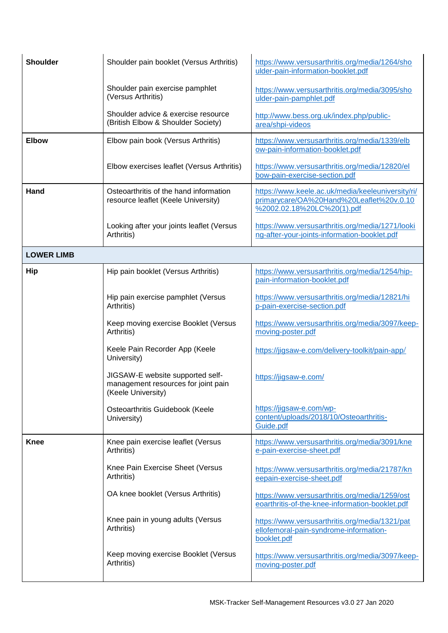| <b>Shoulder</b>   | Shoulder pain booklet (Versus Arthritis)                                                      | https://www.versusarthritis.org/media/1264/sho<br>ulder-pain-information-booklet.pdf                                        |
|-------------------|-----------------------------------------------------------------------------------------------|-----------------------------------------------------------------------------------------------------------------------------|
|                   | Shoulder pain exercise pamphlet<br>(Versus Arthritis)                                         | https://www.versusarthritis.org/media/3095/sho<br>ulder-pain-pamphlet.pdf                                                   |
|                   | Shoulder advice & exercise resource<br>(British Elbow & Shoulder Society)                     | http://www.bess.org.uk/index.php/public-<br>area/shpi-videos                                                                |
| <b>Elbow</b>      | Elbow pain book (Versus Arthritis)                                                            | https://www.versusarthritis.org/media/1339/elb<br>ow-pain-information-booklet.pdf                                           |
|                   | Elbow exercises leaflet (Versus Arthritis)                                                    | https://www.versusarthritis.org/media/12820/el<br>bow-pain-exercise-section.pdf                                             |
| Hand              | Osteoarthritis of the hand information<br>resource leaflet (Keele University)                 | https://www.keele.ac.uk/media/keeleuniversity/ri/<br>primarycare/OA%20Hand%20Leaflet%20v.0.10<br>%2002.02.18%20LC%20(1).pdf |
|                   | Looking after your joints leaflet (Versus<br>Arthritis)                                       | https://www.versusarthritis.org/media/1271/looki<br>ng-after-your-joints-information-booklet.pdf                            |
| <b>LOWER LIMB</b> |                                                                                               |                                                                                                                             |
| Hip               | Hip pain booklet (Versus Arthritis)                                                           | https://www.versusarthritis.org/media/1254/hip-<br>pain-information-booklet.pdf                                             |
|                   | Hip pain exercise pamphlet (Versus<br>Arthritis)                                              | https://www.versusarthritis.org/media/12821/hi<br>p-pain-exercise-section.pdf                                               |
|                   | Keep moving exercise Booklet (Versus<br>Arthritis)                                            | https://www.versusarthritis.org/media/3097/keep-<br>moving-poster.pdf                                                       |
|                   | Keele Pain Recorder App (Keele<br>University)                                                 | https://jigsaw-e.com/delivery-toolkit/pain-app/                                                                             |
|                   | JIGSAW-E website supported self-<br>management resources for joint pain<br>(Keele University) | https://jigsaw-e.com/                                                                                                       |
|                   | Osteoarthritis Guidebook (Keele<br>University)                                                | https://jigsaw-e.com/wp-<br>content/uploads/2018/10/Osteoarthritis-<br>Guide.pdf                                            |
| <b>Knee</b>       | Knee pain exercise leaflet (Versus<br>Arthritis)                                              | https://www.versusarthritis.org/media/3091/kne<br>e-pain-exercise-sheet.pdf                                                 |
|                   | Knee Pain Exercise Sheet (Versus<br>Arthritis)                                                | https://www.versusarthritis.org/media/21787/kn<br>eepain-exercise-sheet.pdf                                                 |
|                   | OA knee booklet (Versus Arthritis)                                                            | https://www.versusarthritis.org/media/1259/ost<br>eoarthritis-of-the-knee-information-booklet.pdf                           |
|                   | Knee pain in young adults (Versus<br>Arthritis)                                               | https://www.versusarthritis.org/media/1321/pat<br>ellofemoral-pain-syndrome-information-<br>booklet.pdf                     |
|                   | Keep moving exercise Booklet (Versus<br>Arthritis)                                            | https://www.versusarthritis.org/media/3097/keep-<br>moving-poster.pdf                                                       |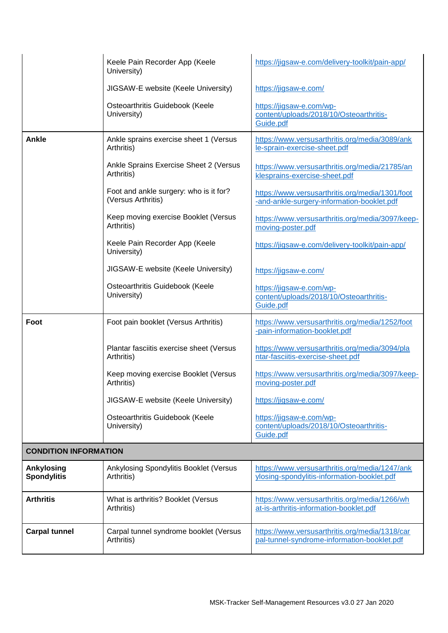|                                  | Keele Pain Recorder App (Keele<br>University)                | https://jigsaw-e.com/delivery-toolkit/pain-app/                                               |
|----------------------------------|--------------------------------------------------------------|-----------------------------------------------------------------------------------------------|
|                                  | JIGSAW-E website (Keele University)                          | https://jigsaw-e.com/                                                                         |
|                                  | Osteoarthritis Guidebook (Keele<br>University)               | https://jigsaw-e.com/wp-<br>content/uploads/2018/10/Osteoarthritis-<br>Guide.pdf              |
| <b>Ankle</b>                     | Ankle sprains exercise sheet 1 (Versus<br>Arthritis)         | https://www.versusarthritis.org/media/3089/ank<br>le-sprain-exercise-sheet.pdf                |
|                                  | Ankle Sprains Exercise Sheet 2 (Versus<br>Arthritis)         | https://www.versusarthritis.org/media/21785/an<br>klesprains-exercise-sheet.pdf               |
|                                  | Foot and ankle surgery: who is it for?<br>(Versus Arthritis) | https://www.versusarthritis.org/media/1301/foot<br>-and-ankle-surgery-information-booklet.pdf |
|                                  | Keep moving exercise Booklet (Versus<br>Arthritis)           | https://www.versusarthritis.org/media/3097/keep-<br>moving-poster.pdf                         |
|                                  | Keele Pain Recorder App (Keele<br>University)                | https://jigsaw-e.com/delivery-toolkit/pain-app/                                               |
|                                  | JIGSAW-E website (Keele University)                          | https://jigsaw-e.com/                                                                         |
|                                  | Osteoarthritis Guidebook (Keele<br>University)               | https://jigsaw-e.com/wp-<br>content/uploads/2018/10/Osteoarthritis-<br>Guide.pdf              |
| Foot                             | Foot pain booklet (Versus Arthritis)                         | https://www.versusarthritis.org/media/1252/foot<br>-pain-information-booklet.pdf              |
|                                  | Plantar fasciitis exercise sheet (Versus<br>Arthritis)       | https://www.versusarthritis.org/media/3094/pla<br>ntar-fasciitis-exercise-sheet.pdf           |
|                                  | Keep moving exercise Booklet (Versus<br>Arthritis)           | https://www.versusarthritis.org/media/3097/keep-<br>moving-poster.pdf                         |
|                                  | JIGSAW-E website (Keele University)                          | https://jigsaw-e.com/                                                                         |
|                                  | Osteoarthritis Guidebook (Keele<br>University)               | https://jigsaw-e.com/wp-<br>content/uploads/2018/10/Osteoarthritis-<br>Guide.pdf              |
| <b>CONDITION INFORMATION</b>     |                                                              |                                                                                               |
| Ankylosing<br><b>Spondylitis</b> | Ankylosing Spondylitis Booklet (Versus<br>Arthritis)         | https://www.versusarthritis.org/media/1247/ank<br>ylosing-spondylitis-information-booklet.pdf |
| <b>Arthritis</b>                 | What is arthritis? Booklet (Versus<br>Arthritis)             | https://www.versusarthritis.org/media/1266/wh<br>at-is-arthritis-information-booklet.pdf      |
| <b>Carpal tunnel</b>             | Carpal tunnel syndrome booklet (Versus<br>Arthritis)         | https://www.versusarthritis.org/media/1318/car<br>pal-tunnel-syndrome-information-booklet.pdf |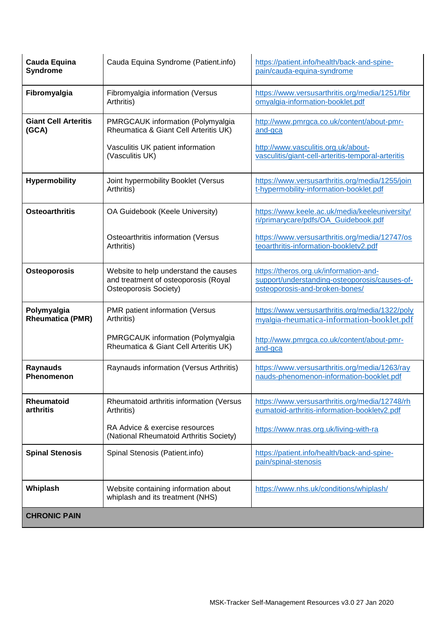| <b>Cauda Equina</b><br>Syndrome        | Cauda Equina Syndrome (Patient.info)                                                                   | https://patient.info/health/back-and-spine-<br>pain/cauda-equina-syndrome                                                 |
|----------------------------------------|--------------------------------------------------------------------------------------------------------|---------------------------------------------------------------------------------------------------------------------------|
| Fibromyalgia                           | Fibromyalgia information (Versus<br>Arthritis)                                                         | https://www.versusarthritis.org/media/1251/fibr<br>omyalgia-information-booklet.pdf                                       |
| <b>Giant Cell Arteritis</b><br>(GCA)   | PMRGCAUK information (Polymyalgia<br>Rheumatica & Giant Cell Arteritis UK)                             | http://www.pmrgca.co.uk/content/about-pmr-<br>and-gca                                                                     |
|                                        | Vasculitis UK patient information<br>(Vasculitis UK)                                                   | http://www.vasculitis.org.uk/about-<br>vasculitis/giant-cell-arteritis-temporal-arteritis                                 |
| <b>Hypermobility</b>                   | Joint hypermobility Booklet (Versus<br>Arthritis)                                                      | https://www.versusarthritis.org/media/1255/join<br>t-hypermobility-information-booklet.pdf                                |
| <b>Osteoarthritis</b>                  | OA Guidebook (Keele University)                                                                        | https://www.keele.ac.uk/media/keeleuniversity/<br>ri/primarycare/pdfs/OA_Guidebook.pdf                                    |
|                                        | Osteoarthritis information (Versus<br>Arthritis)                                                       | https://www.versusarthritis.org/media/12747/os<br>teoarthritis-information-bookletv2.pdf                                  |
| Osteoporosis                           | Website to help understand the causes<br>and treatment of osteoporosis (Royal<br>Osteoporosis Society) | https://theros.org.uk/information-and-<br>support/understanding-osteoporosis/causes-of-<br>osteoporosis-and-broken-bones/ |
| Polymyalgia<br><b>Rheumatica (PMR)</b> | PMR patient information (Versus<br>Arthritis)                                                          | https://www.versusarthritis.org/media/1322/poly<br>myalgia-rheumatica-information-booklet.pdf                             |
|                                        | PMRGCAUK information (Polymyalgia<br>Rheumatica & Giant Cell Arteritis UK)                             | http://www.pmrgca.co.uk/content/about-pmr-<br>and-gca                                                                     |
| <b>Raynauds</b><br>Phenomenon          | Raynauds information (Versus Arthritis)                                                                | https://www.versusarthritis.org/media/1263/ray<br>nauds-phenomenon-information-booklet.pdf                                |
| <b>Rheumatoid</b><br>arthritis         | Rheumatoid arthritis information (Versus<br>Arthritis)                                                 | https://www.versusarthritis.org/media/12748/rh<br>eumatoid-arthritis-information-bookletv2.pdf                            |
|                                        | RA Advice & exercise resources<br>(National Rheumatoid Arthritis Society)                              | https://www.nras.org.uk/living-with-ra                                                                                    |
| <b>Spinal Stenosis</b>                 | Spinal Stenosis (Patient.info)                                                                         | https://patient.info/health/back-and-spine-<br>pain/spinal-stenosis                                                       |
| Whiplash                               | Website containing information about<br>whiplash and its treatment (NHS)                               | https://www.nhs.uk/conditions/whiplash/                                                                                   |
| <b>CHRONIC PAIN</b>                    |                                                                                                        |                                                                                                                           |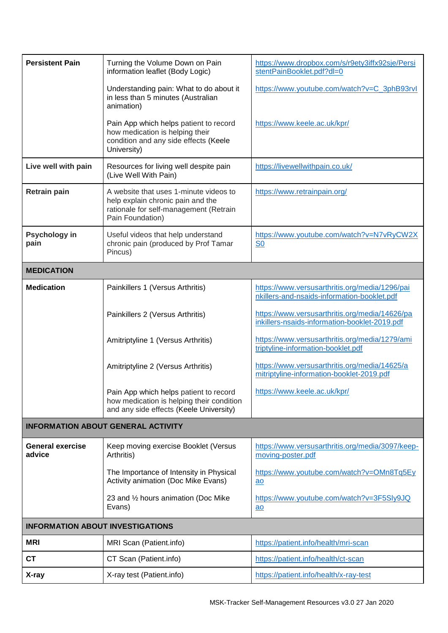| <b>Persistent Pain</b>                  | Turning the Volume Down on Pain<br>information leaflet (Body Logic)                                                                       | https://www.dropbox.com/s/r9ety3iffx92sje/Persi<br>stentPainBooklet.pdf?dl=0                    |  |
|-----------------------------------------|-------------------------------------------------------------------------------------------------------------------------------------------|-------------------------------------------------------------------------------------------------|--|
|                                         | Understanding pain: What to do about it<br>in less than 5 minutes (Australian<br>animation)                                               | https://www.youtube.com/watch?v=C_3phB93rvl                                                     |  |
|                                         | Pain App which helps patient to record<br>how medication is helping their<br>condition and any side effects (Keele<br>University)         | https://www.keele.ac.uk/kpr/                                                                    |  |
| Live well with pain                     | Resources for living well despite pain<br>(Live Well With Pain)                                                                           | https://livewellwithpain.co.uk/                                                                 |  |
| <b>Retrain pain</b>                     | A website that uses 1-minute videos to<br>help explain chronic pain and the<br>rationale for self-management (Retrain<br>Pain Foundation) | https://www.retrainpain.org/                                                                    |  |
| Psychology in<br>pain                   | Useful videos that help understand<br>chronic pain (produced by Prof Tamar<br>Pincus)                                                     | https://www.youtube.com/watch?v=N7vRyCW2X<br><b>S0</b>                                          |  |
| <b>MEDICATION</b>                       |                                                                                                                                           |                                                                                                 |  |
| <b>Medication</b>                       | Painkillers 1 (Versus Arthritis)                                                                                                          | https://www.versusarthritis.org/media/1296/pai<br>nkillers-and-nsaids-information-booklet.pdf   |  |
|                                         | Painkillers 2 (Versus Arthritis)                                                                                                          | https://www.versusarthritis.org/media/14626/pa<br>inkillers-nsaids-information-booklet-2019.pdf |  |
|                                         | Amitriptyline 1 (Versus Arthritis)                                                                                                        | https://www.versusarthritis.org/media/1279/ami<br>triptyline-information-booklet.pdf            |  |
|                                         | Amitriptyline 2 (Versus Arthritis)                                                                                                        | https://www.versusarthritis.org/media/14625/a<br>mitriptyline-information-booklet-2019.pdf      |  |
|                                         | Pain App which helps patient to record<br>how medication is helping their condition<br>and any side effects (Keele University)            | https://www.keele.ac.uk/kpr/                                                                    |  |
|                                         | <b>INFORMATION ABOUT GENERAL ACTIVITY</b>                                                                                                 |                                                                                                 |  |
| <b>General exercise</b><br>advice       | Keep moving exercise Booklet (Versus<br>Arthritis)                                                                                        | https://www.versusarthritis.org/media/3097/keep-<br>moving-poster.pdf                           |  |
|                                         | The Importance of Intensity in Physical<br>Activity animation (Doc Mike Evans)                                                            | https://www.youtube.com/watch?v=OMn8Tq5Ey<br>ao                                                 |  |
|                                         | 23 and 1/2 hours animation (Doc Mike<br>Evans)                                                                                            | https://www.youtube.com/watch?v=3F5SIy9JQ<br>ao                                                 |  |
| <b>INFORMATION ABOUT INVESTIGATIONS</b> |                                                                                                                                           |                                                                                                 |  |
| <b>MRI</b>                              | MRI Scan (Patient.info)                                                                                                                   | https://patient.info/health/mri-scan                                                            |  |
| <b>CT</b>                               | CT Scan (Patient.info)                                                                                                                    | https://patient.info/health/ct-scan                                                             |  |
| X-ray                                   | X-ray test (Patient.info)                                                                                                                 | https://patient.info/health/x-ray-test                                                          |  |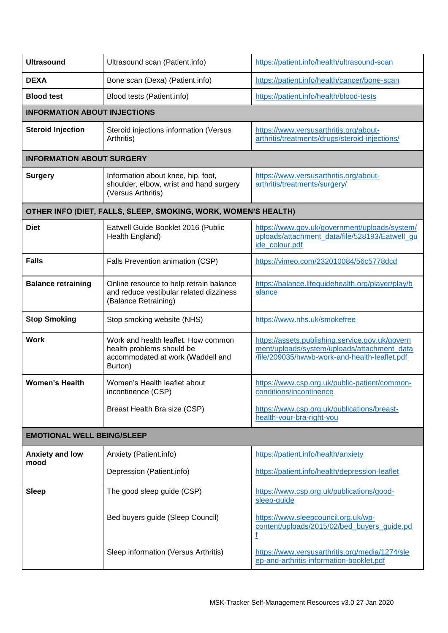| <b>Ultrasound</b>                   | Ultrasound scan (Patient.info)                                                                                   | https://patient.info/health/ultrasound-scan                                                                                                     |
|-------------------------------------|------------------------------------------------------------------------------------------------------------------|-------------------------------------------------------------------------------------------------------------------------------------------------|
| <b>DEXA</b>                         | Bone scan (Dexa) (Patient.info)                                                                                  | https://patient.info/health/cancer/bone-scan                                                                                                    |
| <b>Blood test</b>                   | Blood tests (Patient.info)                                                                                       | https://patient.info/health/blood-tests                                                                                                         |
| <b>INFORMATION ABOUT INJECTIONS</b> |                                                                                                                  |                                                                                                                                                 |
| <b>Steroid Injection</b>            | Steroid injections information (Versus<br>Arthritis)                                                             | https://www.versusarthritis.org/about-<br>arthritis/treatments/drugs/steroid-injections/                                                        |
| <b>INFORMATION ABOUT SURGERY</b>    |                                                                                                                  |                                                                                                                                                 |
| <b>Surgery</b>                      | Information about knee, hip, foot,<br>shoulder, elbow, wrist and hand surgery<br>(Versus Arthritis)              | https://www.versusarthritis.org/about-<br>arthritis/treatments/surgery/                                                                         |
|                                     | OTHER INFO (DIET, FALLS, SLEEP, SMOKING, WORK, WOMEN'S HEALTH)                                                   |                                                                                                                                                 |
| <b>Diet</b>                         | Eatwell Guide Booklet 2016 (Public<br>Health England)                                                            | https://www.gov.uk/government/uploads/system/<br>uploads/attachment_data/file/528193/Eatwell_gu<br>ide colour.pdf                               |
| <b>Falls</b>                        | Falls Prevention animation (CSP)                                                                                 | https://vimeo.com/232010084/56c5778dcd                                                                                                          |
| <b>Balance retraining</b>           | Online resource to help retrain balance<br>and reduce vestibular related dizziness<br>(Balance Retraining)       | https://balance.lifeguidehealth.org/player/play/b<br>alance                                                                                     |
| <b>Stop Smoking</b>                 | Stop smoking website (NHS)                                                                                       | https://www.nhs.uk/smokefree                                                                                                                    |
| <b>Work</b>                         | Work and health leaflet. How common<br>health problems should be<br>accommodated at work (Waddell and<br>Burton) | https://assets.publishing.service.gov.uk/govern<br>ment/uploads/system/uploads/attachment_data<br>/file/209035/hwwb-work-and-health-leaflet.pdf |
| <b>Women's Health</b>               | Women's Health leaflet about<br>incontinence (CSP)                                                               | https://www.csp.org.uk/public-patient/common-<br>conditions/incontinence                                                                        |
|                                     | Breast Health Bra size (CSP)                                                                                     | https://www.csp.org.uk/publications/breast-<br>health-your-bra-right-you                                                                        |
| <b>EMOTIONAL WELL BEING/SLEEP</b>   |                                                                                                                  |                                                                                                                                                 |
| <b>Anxiety and low</b>              | Anxiety (Patient.info)                                                                                           | https://patient.info/health/anxiety                                                                                                             |
| mood                                | Depression (Patient.info)                                                                                        | https://patient.info/health/depression-leaflet                                                                                                  |
| <b>Sleep</b>                        | The good sleep guide (CSP)                                                                                       | https://www.csp.org.uk/publications/good-<br>sleep-guide                                                                                        |
|                                     | Bed buyers guide (Sleep Council)                                                                                 | https://www.sleepcouncil.org.uk/wp-<br>content/uploads/2015/02/bed_buyers_guide.pd<br>f                                                         |
|                                     | Sleep information (Versus Arthritis)                                                                             | https://www.versusarthritis.org/media/1274/sle<br>ep-and-arthritis-information-booklet.pdf                                                      |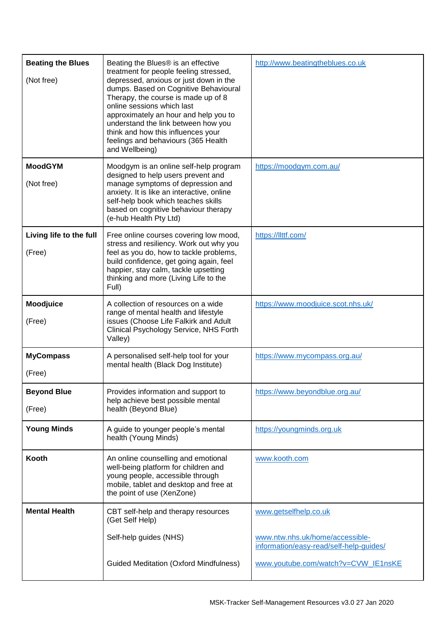| <b>Beating the Blues</b><br>(Not free) | Beating the Blues® is an effective<br>treatment for people feeling stressed,<br>depressed, anxious or just down in the<br>dumps. Based on Cognitive Behavioural<br>Therapy, the course is made up of 8<br>online sessions which last<br>approximately an hour and help you to<br>understand the link between how you<br>think and how this influences your<br>feelings and behaviours (365 Health<br>and Wellbeing) | http://www.beatingtheblues.co.uk                                           |
|----------------------------------------|---------------------------------------------------------------------------------------------------------------------------------------------------------------------------------------------------------------------------------------------------------------------------------------------------------------------------------------------------------------------------------------------------------------------|----------------------------------------------------------------------------|
| <b>MoodGYM</b><br>(Not free)           | Moodgym is an online self-help program<br>designed to help users prevent and<br>manage symptoms of depression and<br>anxiety. It is like an interactive, online<br>self-help book which teaches skills<br>based on cognitive behaviour therapy<br>(e-hub Health Pty Ltd)                                                                                                                                            | https://moodgym.com.au/                                                    |
| Living life to the full<br>(Free)      | Free online courses covering low mood,<br>stress and resiliency. Work out why you<br>feel as you do, how to tackle problems,<br>build confidence, get going again, feel<br>happier, stay calm, tackle upsetting<br>thinking and more (Living Life to the<br>Full)                                                                                                                                                   | https://llttf.com/                                                         |
| Moodjuice<br>(Free)                    | A collection of resources on a wide<br>range of mental health and lifestyle<br>issues (Choose Life Falkirk and Adult<br>Clinical Psychology Service, NHS Forth<br>Valley)                                                                                                                                                                                                                                           | https://www.moodjuice.scot.nhs.uk/                                         |
| <b>MyCompass</b><br>(Free)             | A personalised self-help tool for your<br>mental health (Black Dog Institute)                                                                                                                                                                                                                                                                                                                                       | https://www.mycompass.org.au/                                              |
| <b>Beyond Blue</b><br>(Free)           | Provides information and support to<br>help achieve best possible mental<br>health (Beyond Blue)                                                                                                                                                                                                                                                                                                                    | https://www.beyondblue.org.au/                                             |
| <b>Young Minds</b>                     | A guide to younger people's mental<br>health (Young Minds)                                                                                                                                                                                                                                                                                                                                                          | https://youngminds.org.uk                                                  |
| Kooth                                  | An online counselling and emotional<br>well-being platform for children and<br>young people, accessible through<br>mobile, tablet and desktop and free at<br>the point of use (XenZone)                                                                                                                                                                                                                             | www.kooth.com                                                              |
| <b>Mental Health</b>                   | CBT self-help and therapy resources<br>(Get Self Help)                                                                                                                                                                                                                                                                                                                                                              | www.getselfhelp.co.uk                                                      |
|                                        | Self-help guides (NHS)                                                                                                                                                                                                                                                                                                                                                                                              | www.ntw.nhs.uk/home/accessible-<br>information/easy-read/self-help-guides/ |
|                                        | <b>Guided Meditation (Oxford Mindfulness)</b>                                                                                                                                                                                                                                                                                                                                                                       | www.youtube.com/watch?v=CVW_IE1nsKE                                        |